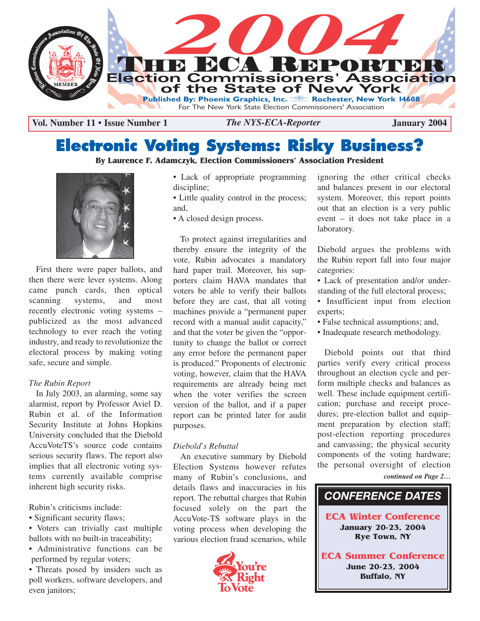

**Vol. Number 11 • Issue Number 1 January 2004** *The NYS-ECA-Reporter*

# **Electronic Voting Systems: Risky Business?**

### **By Laurence F. Adamczyk, Election Commissioners' Association President**



First there were paper ballots, and then there were lever systems. Along came punch cards, then optical scanning systems, and most recently electronic voting systems – publicized as the most advanced technology to ever reach the voting industry, and ready to revolutionize the electoral process by making voting safe, secure and simple.

#### *The Rubin Report*

In July 2003, an alarming, some say alarmist, report by Professor Aviel D. Rubin et al. of the Information Security Institute at Johns Hopkins University concluded that the Diebold AccuVoteTS's source code contains serious security flaws. The report also implies that all electronic voting systems currently available comprise inherent high security risks.

Rubin's criticisms include:

- Significant security flaws;
- Voters can trivially cast multiple ballots with no built-in traceability;
- Administrative functions can be performed by regular voters;

• Threats posed by insiders such as poll workers, software developers, and even janitors;

- Lack of appropriate programming discipline:
- Little quality control in the process; and,
- A closed design process.

To protect against irregularities and thereby ensure the integrity of the vote, Rubin advocates a mandatory hard paper trail. Moreover, his supporters claim HAVA mandates that voters be able to verify their ballots before they are cast, that all voting machines provide a "permanent paper record with a manual audit capacity," and that the voter be given the "opportunity to change the ballot or correct any error before the permanent paper is produced." Proponents of electronic voting, however, claim that the HAVA requirements are already being met when the voter verifies the screen version of the ballot, and if a paper report can be printed later for audit purposes.

#### *Diebold's Rebuttal*

An executive summary by Diebold Election Systems however refutes many of Rubin's conclusions, and details flaws and inaccuracies in his report. The rebuttal charges that Rubin focused solely on the part the AccuVote-TS software plays in the voting process when developing the various election fraud scenarios, while



ignoring the other critical checks and balances present in our electoral system. Moreover, this report points out that an election is a very public event – it does not take place in a laboratory.

Diebold argues the problems with the Rubin report fall into four major categories:

- Lack of presentation and/or understanding of the full electoral process;
- Insufficient input from election experts;
- False technical assumptions; and,
- Inadequate research methodology.

Diebold points out that third parties verify every critical process throughout an election cycle and perform multiple checks and balances as well. These include equipment certification; purchase and receipt procedures; pre-election ballot and equipment preparation by election staff; post-election reporting procedures and canvassing; the physical security components of the voting hardware; the personal oversight of election

*continued on Page 2…*

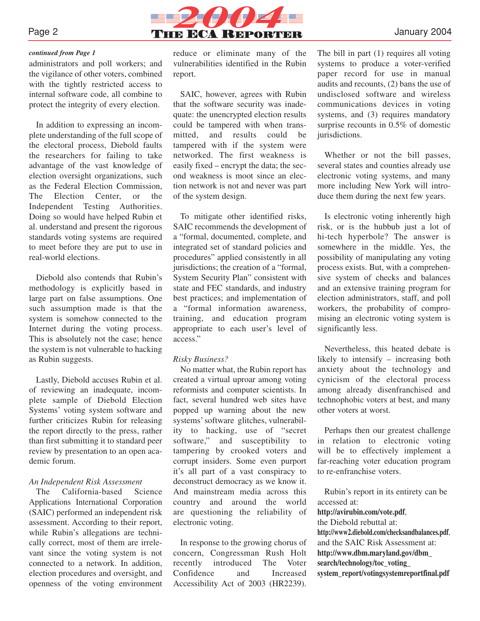

#### *continued from Page 1*

administrators and poll workers; and the vigilance of other voters, combined with the tightly restricted access to internal software code, all combine to protect the integrity of every election.

In addition to expressing an incomplete understanding of the full scope of the electoral process, Diebold faults the researchers for failing to take advantage of the vast knowledge of election oversight organizations, such as the Federal Election Commission, The Election Center, or the Independent Testing Authorities. Doing so would have helped Rubin et al. understand and present the rigorous standards voting systems are required to meet before they are put to use in real-world elections.

Diebold also contends that Rubin's methodology is explicitly based in large part on false assumptions. One such assumption made is that the system is somehow connected to the Internet during the voting process. This is absolutely not the case; hence the system is not vulnerable to hacking as Rubin suggests.

Lastly, Diebold accuses Rubin et al. of reviewing an inadequate, incomplete sample of Diebold Election Systems' voting system software and further criticizes Rubin for releasing the report directly to the press, rather than first submitting it to standard peer review by presentation to an open academic forum.

#### *An Independent Risk Assessment*

The California-based Science Applications International Corporation (SAIC) performed an independent risk assessment. According to their report, while Rubin's allegations are technically correct, most of them are irrelevant since the voting system is not connected to a network. In addition, election procedures and oversight, and openness of the voting environment reduce or eliminate many of the vulnerabilities identified in the Rubin report.

SAIC, however, agrees with Rubin that the software security was inadequate: the unencrypted election results could be tampered with when transmitted, and results could be tampered with if the system were networked. The first weakness is easily fixed – encrypt the data; the second weakness is moot since an election network is not and never was part of the system design.

To mitigate other identified risks, SAIC recommends the development of a "formal, documented, complete, and integrated set of standard policies and procedures" applied consistently in all jurisdictions; the creation of a "formal, System Security Plan" consistent with state and FEC standards, and industry best practices; and implementation of a "formal information awareness, training, and education program appropriate to each user's level of access."

#### *Risky Business?*

No matter what, the Rubin report has created a virtual uproar among voting reformists and computer scientists. In fact, several hundred web sites have popped up warning about the new systems' software glitches, vulnerability to hacking, use of "secret software," and susceptibility to tampering by crooked voters and corrupt insiders. Some even purport it's all part of a vast conspiracy to deconstruct democracy as we know it. And mainstream media across this country and around the world are questioning the reliability of electronic voting.

In response to the growing chorus of concern, Congressman Rush Holt recently introduced The Voter Confidence and Increased Accessibility Act of 2003 (HR2239).

The bill in part (1) requires all voting systems to produce a voter-verified paper record for use in manual audits and recounts, (2) bans the use of undisclosed software and wireless communications devices in voting systems, and (3) requires mandatory surprise recounts in 0.5% of domestic jurisdictions.

Whether or not the bill passes, several states and counties already use electronic voting systems, and many more including New York will introduce them during the next few years.

Is electronic voting inherently high risk, or is the hubbub just a lot of hi-tech hyperbole? The answer is somewhere in the middle. Yes, the possibility of manipulating any voting process exists. But, with a comprehensive system of checks and balances and an extensive training program for election administrators, staff, and poll workers, the probability of compromising an electronic voting system is significantly less.

Nevertheless, this heated debate is likely to intensify – increasing both anxiety about the technology and cynicism of the electoral process among already disenfranchised and technophobic voters at best, and many other voters at worst.

Perhaps then our greatest challenge in relation to electronic voting will be to effectively implement a far-reaching voter education program to re-enfranchise voters.

Rubin's report in its entirety can be accessed at:

#### **http://avirubin.com/vote.pdf**,

the Diebold rebuttal at: **http://www2.diebold.com/checksandbalances.pdf**, and the SAIC Risk Assessment at: **http://www.dbm.maryland.gov/dbm\_ search/technology/toc\_voting\_ system\_report/votingsystemreportfinal.pdf**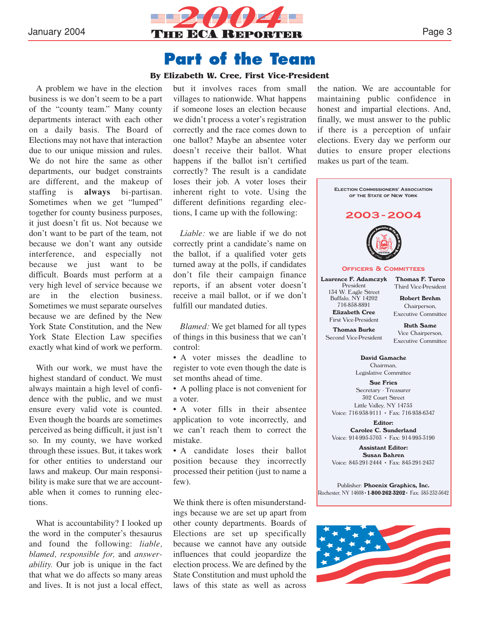

### **Part of the Team**

#### **By Elizabeth W. Cree, First Vice-President**

A problem we have in the election business is we don't seem to be a part of the "county team." Many county departments interact with each other on a daily basis. The Board of Elections may not have that interaction due to our unique mission and rules. We do not hire the same as other departments, our budget constraints are different, and the makeup of staffing is **always** bi-partisan. Sometimes when we get "lumped" together for county business purposes, it just doesn't fit us. Not because we don't want to be part of the team, not because we don't want any outside interference, and especially not because we just want to be difficult. Boards must perform at a very high level of service because we are in the election business. Sometimes we must separate ourselves because we are defined by the New York State Constitution, and the New York State Election Law specifies exactly what kind of work we perform.

With our work, we must have the highest standard of conduct. We must always maintain a high level of confidence with the public, and we must ensure every valid vote is counted. Even though the boards are sometimes perceived as being difficult, it just isn't so. In my county, we have worked through these issues. But, it takes work for other entities to understand our laws and makeup. Our main responsibility is make sure that we are accountable when it comes to running elections.

What is accountability? I looked up the word in the computer's thesaurus and found the following: *liable, blamed, responsible for,* and *answerability.* Our job is unique in the fact that what we do affects so many areas and lives. It is not just a local effect, but it involves races from small villages to nationwide. What happens if someone loses an election because we didn't process a voter's registration correctly and the race comes down to one ballot? Maybe an absentee voter doesn't receive their ballot. What happens if the ballot isn't certified correctly? The result is a candidate loses their job. A voter loses their inherent right to vote. Using the different definitions regarding elections, I came up with the following:

*Liable:* we are liable if we do not correctly print a candidate's name on the ballot, if a qualified voter gets turned away at the polls, if candidates don't file their campaign finance reports, if an absent voter doesn't receive a mail ballot, or if we don't fulfill our mandated duties.

*Blamed:* We get blamed for all types of things in this business that we can't control:

• A voter misses the deadline to register to vote even though the date is set months ahead of time.

• A polling place is not convenient for a voter.

• A voter fills in their absentee application to vote incorrectly, and we can't reach them to correct the mistake.

• A candidate loses their ballot position because they incorrectly processed their petition (just to name a few).

We think there is often misunderstandings because we are set up apart from other county departments. Boards of Elections are set up specifically because we cannot have any outside influences that could jeopardize the election process. We are defined by the State Constitution and must uphold the laws of this state as well as across

the nation. We are accountable for maintaining public confidence in honest and impartial elections. And, finally, we must answer to the public if there is a perception of unfair elections. Every day we perform our duties to ensure proper elections makes us part of the team.



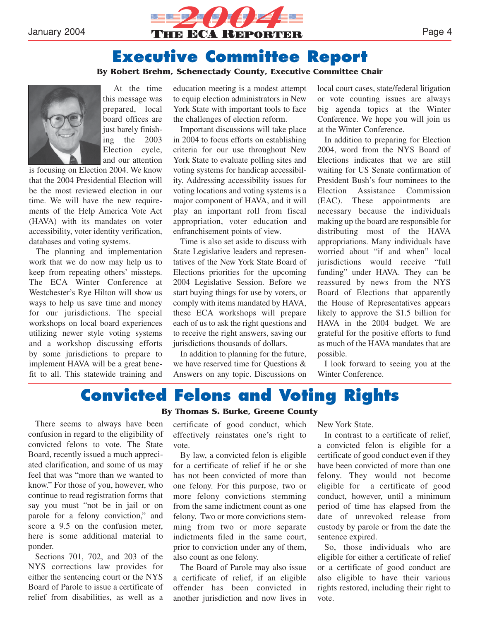

### **Executive Committee Report**

#### **By Robert Brehm, Schenectady County, Executive Committee Chair**



At the time this message was prepared, local board offices are just barely finishing the 2003 Election cycle, and our attention

is focusing on Election 2004. We know that the 2004 Presidential Election will be the most reviewed election in our time. We will have the new requirements of the Help America Vote Act (HAVA) with its mandates on voter accessibility, voter identity verification, databases and voting systems.

The planning and implementation work that we do now may help us to keep from repeating others' missteps. The ECA Winter Conference at Westchester's Rye Hilton will show us ways to help us save time and money for our jurisdictions. The special workshops on local board experiences utilizing newer style voting systems and a workshop discussing efforts by some jurisdictions to prepare to implement HAVA will be a great benefit to all. This statewide training and education meeting is a modest attempt to equip election administrators in New York State with important tools to face the challenges of election reform.

Important discussions will take place in 2004 to focus efforts on establishing criteria for our use throughout New York State to evaluate polling sites and voting systems for handicap accessibility. Addressing accessibility issues for voting locations and voting systems is a major component of HAVA, and it will play an important roll from fiscal appropriation, voter education and enfranchisement points of view.

Time is also set aside to discuss with State Legislative leaders and representatives of the New York State Board of Elections priorities for the upcoming 2004 Legislative Session. Before we start buying things for use by voters, or comply with items mandated by HAVA, these ECA workshops will prepare each of us to ask the right questions and to receive the right answers, saving our jurisdictions thousands of dollars.

In addition to planning for the future, we have reserved time for Questions & Answers on any topic. Discussions on

local court cases, state/federal litigation or vote counting issues are always big agenda topics at the Winter Conference. We hope you will join us at the Winter Conference.

In addition to preparing for Election 2004, word from the NYS Board of Elections indicates that we are still waiting for US Senate confirmation of President Bush's four nominees to the Election Assistance Commission (EAC). These appointments are necessary because the individuals making up the board are responsible for distributing most of the HAVA appropriations. Many individuals have worried about "if and when" local jurisdictions would receive "full funding" under HAVA. They can be reassured by news from the NYS Board of Elections that apparently the House of Representatives appears likely to approve the \$1.5 billion for HAVA in the 2004 budget. We are grateful for the positive efforts to fund as much of the HAVA mandates that are possible.

I look forward to seeing you at the Winter Conference.

### **Convicted Felons and Voting Rights By Thomas S. Burke, Greene County**

There seems to always have been confusion in regard to the eligibility of convicted felons to vote. The State Board, recently issued a much appreciated clarification, and some of us may feel that was "more than we wanted to know." For those of you, however, who continue to read registration forms that say you must "not be in jail or on parole for a felony conviction," and score a 9.5 on the confusion meter, here is some additional material to ponder.

Sections 701, 702, and 203 of the NYS corrections law provides for either the sentencing court or the NYS Board of Parole to issue a certificate of relief from disabilities, as well as a

certificate of good conduct, which effectively reinstates one's right to vote.

By law, a convicted felon is eligible for a certificate of relief if he or she has not been convicted of more than one felony. For this purpose, two or more felony convictions stemming from the same indictment count as one felony. Two or more convictions stemming from two or more separate indictments filed in the same court, prior to conviction under any of them, also count as one felony.

The Board of Parole may also issue a certificate of relief, if an eligible offender has been convicted in another jurisdiction and now lives in

New York State.

In contrast to a certificate of relief, a convicted felon is eligible for a certificate of good conduct even if they have been convicted of more than one felony. They would not become eligible for a certificate of good conduct, however, until a minimum period of time has elapsed from the date of unrevoked release from custody by parole or from the date the sentence expired.

So, those individuals who are eligible for either a certificate of relief or a certificate of good conduct are also eligible to have their various rights restored, including their right to vote.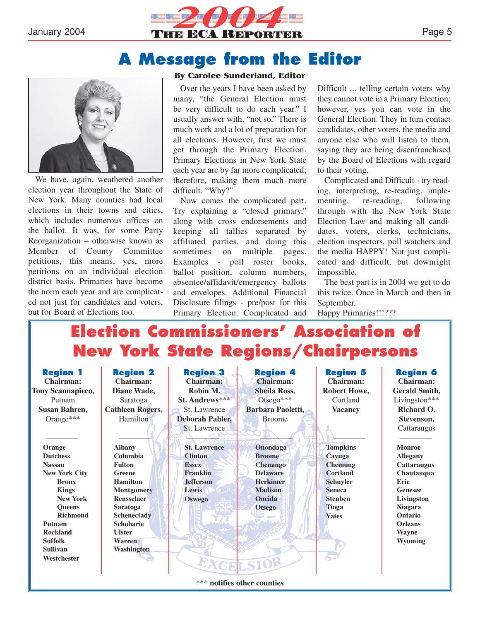

### **A Message from the Editor**



We have, again, weathered another election year throughout the State of New York. Many counties had local elections in their towns and cities, which includes numerous offices on the ballot. It was, for some Party Reorganization – otherwise known as Member of County Committee petitions, this means, yes, more petitions on an individual election district basis. Primaries have become the norm each year and are complicated not just for candidates and voters, but for Board of Elections too.

#### **By Carolee Sunderland, Editor**

Over the years I have been asked by many, "the General Election must be very difficult to do each year." I usually answer with, "not so." There is much work and a lot of preparation for all elections. However, first we must get through the Primary Election. Primary Elections in New York State each year are by far more complicated; therefore, making them much more difficult. "Why?"

Now comes the complicated part. Try explaining a "closed primary," along with cross endorsements and keeping all tallies separated by affiliated parties, and doing this sometimes on multiple pages. Examples - poll roster books, ballot position, column numbers, absentee/affidavit/emergency ballots and envelopes. Additional Financial Disclosure filings - pre/post for this Primary Election. Complicated and

Difficult ... telling certain voters why they cannot vote in a Primary Election; however, yes you can vote in the General Election. They in turn contact candidates, other voters, the media and anyone else who will listen to them, saying they are being disenfranchised by the Board of Elections with regard to their voting.

Complicated and Difficult - try reading, interpreting, re-reading, implementing, re-reading, following through with the New York State Election Law and making all candidates, voters, clerks, technicians, election inspectors, poll watchers and the media HAPPY! Not just complicated and difficult, but downright impossible.

The best part is in 2004 we get to do this twice. Once in March and then in September.

Happy Primaries!!!???

# **Election Commissioners' Association of New York State Regions/Chairpersons**

| <b>Region 1</b><br>Chairman:<br><b>Tony Scannapieco,</b><br>Putnam                                                                                                                                                                         | <b>Region 2</b><br>Chairman:<br>Diane Wade,<br>Saratoga                                                                                                                                                                        | <b>Region 3</b><br><b>Chairman:</b><br>Robin M.<br><b>St. Andrews</b> ***                                              | <b>Region 4</b><br><b>Chairman:</b><br><b>Sheila Ross,</b><br>$Otsego***$                                                       | <b>Region 5</b><br>Chairman:<br><b>Robert Howe,</b><br>Cortland                                                                               | <b>Region 6</b><br>Chairman:<br>Gerald Smith,<br>Livingston***                                                                                                                                |
|--------------------------------------------------------------------------------------------------------------------------------------------------------------------------------------------------------------------------------------------|--------------------------------------------------------------------------------------------------------------------------------------------------------------------------------------------------------------------------------|------------------------------------------------------------------------------------------------------------------------|---------------------------------------------------------------------------------------------------------------------------------|-----------------------------------------------------------------------------------------------------------------------------------------------|-----------------------------------------------------------------------------------------------------------------------------------------------------------------------------------------------|
| Susan Bahren,<br>Orange***                                                                                                                                                                                                                 | <b>Cathleen Rogers,</b><br>Hamilton                                                                                                                                                                                            | St. Lawrence<br><b>Deborah Pahler,</b><br>St. Lawrence                                                                 | Barbara Paoletti,<br><b>Broome</b>                                                                                              | <b>Vacancy</b>                                                                                                                                | Richard O.<br>Stevenson,<br>Cattaraugus                                                                                                                                                       |
| Orange<br><b>Dutchess</b><br><b>Nassau</b><br><b>New York City</b><br><b>Bronx</b><br><b>Kings</b><br><b>New York</b><br><b>Oueens</b><br><b>Richmond</b><br>Putnam<br><b>Rockland</b><br><b>Suffolk</b><br><b>Sullivan</b><br>Westchester | <b>Albany</b><br>Columbia<br><b>Fulton</b><br>Greene<br><b>Hamilton</b><br>Montgomery<br><b>Rensselaer</b><br><b>Saratoga</b><br><b>Schenectady</b><br><b>Schoharie</b><br><b>Ulster</b><br><b>Warren</b><br><b>Washington</b> | <b>St. Lawrence</b><br><b>Clinton</b><br><b>Essex</b><br><b>Franklin</b><br><b>Jefferson</b><br>Lewis<br><b>Oswego</b> | Onondaga<br><b>Broome</b><br><b>Chenango</b><br><b>Delaware</b><br><b>Herkimer</b><br><b>Madison</b><br>Oneida<br><b>Otsego</b> | <b>Tompkins</b><br>Cayuga<br><b>Chemung</b><br><b>Cortland</b><br><b>Schuyler</b><br><b>Seneca</b><br><b>Steuben</b><br>Tioga<br><b>Yates</b> | <b>Monroe</b><br><b>Allegany</b><br><b>Cattaraugus</b><br>Chautauqua<br>Erie<br><b>Genesee</b><br>Livingston<br><b>Niagara</b><br>Ontario<br><b>Orleans</b><br><b>Wayne</b><br><b>Wyoming</b> |

\*\*\* **notifies other counties**